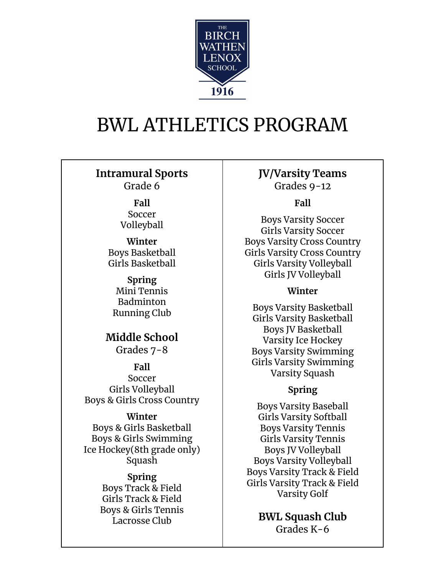

# BWL ATHLETICS PROGRAM

**Intramural Sports** Grade 6

> **Fall** Soccer Volleyball

**Winter** Boys Basketball Girls Basketball

**Spring** Mini Tennis Badminton Running Club

**Middle School** Grades 7-8

**Fall** Soccer Girls Volleyball Boys & Girls Cross Country

## **Winter**

Boys & Girls Basketball Boys & Girls Swimming Ice Hockey(8th grade only) Squash

## **Spring**

Boys Track & Field Girls Track & Field Boys & Girls Tennis Lacrosse Club

**JV/Varsity Teams** Grades 9-12

## **Fall**

Boys Varsity Soccer Girls Varsity Soccer Boys Varsity Cross Country Girls Varsity Cross Country Girls Varsity Volleyball Girls JV Volleyball

#### **Winter**

Boys Varsity Basketball Girls Varsity Basketball Boys JV Basketball Varsity Ice Hockey Boys Varsity Swimming Girls Varsity Swimming Varsity Squash

## **Spring**

Boys Varsity Baseball Girls Varsity Softball Boys Varsity Tennis Girls Varsity Tennis Boys JV Volleyball Boys Varsity Volleyball Boys Varsity Track & Field Girls Varsity Track & Field Varsity Golf

**BWL Squash Club** Grades K-6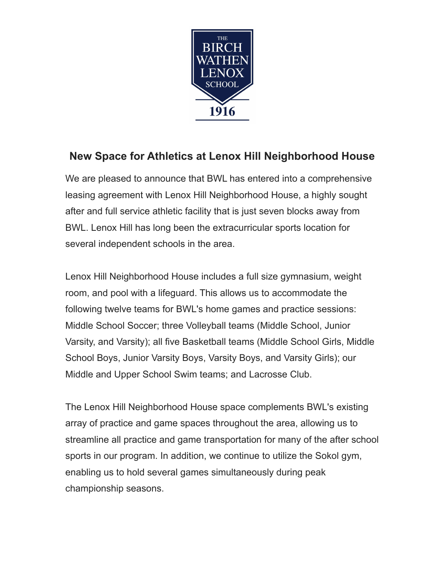

## **New Space for Athletics at Lenox Hill Neighborhood House**

We are pleased to announce that BWL has entered into a comprehensive leasing agreement with Lenox Hill Neighborhood House, a highly sought after and full service athletic facility that is just seven blocks away from BWL. Lenox Hill has long been the extracurricular sports location for several independent schools in the area.

Lenox Hill Neighborhood House includes a full size gymnasium, weight room, and pool with a lifeguard. This allows us to accommodate the following twelve teams for BWL's home games and practice sessions: Middle School Soccer; three Volleyball teams (Middle School, Junior Varsity, and Varsity); all five Basketball teams (Middle School Girls, Middle School Boys, Junior Varsity Boys, Varsity Boys, and Varsity Girls); our Middle and Upper School Swim teams; and Lacrosse Club.

The Lenox Hill Neighborhood House space complements BWL's existing array of practice and game spaces throughout the area, allowing us to streamline all practice and game transportation for many of the after school sports in our program. In addition, we continue to utilize the Sokol gym, enabling us to hold several games simultaneously during peak championship seasons.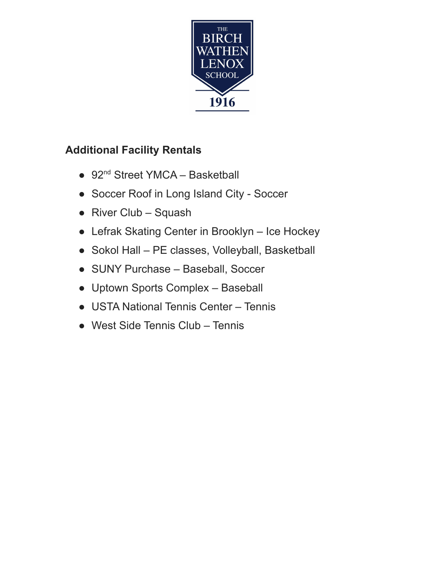

# **Additional Facility Rentals**

- 92<sup>nd</sup> Street YMCA Basketball
- **●** Soccer Roof in Long Island City Soccer
- **●** River Club Squash
- **●** Lefrak Skating Center in Brooklyn Ice Hockey
- **●** Sokol Hall PE classes, Volleyball, Basketball
- **●** SUNY Purchase Baseball, Soccer
- **●** Uptown Sports Complex Baseball
- **●** USTA National Tennis Center Tennis
- **●** West Side Tennis Club Tennis